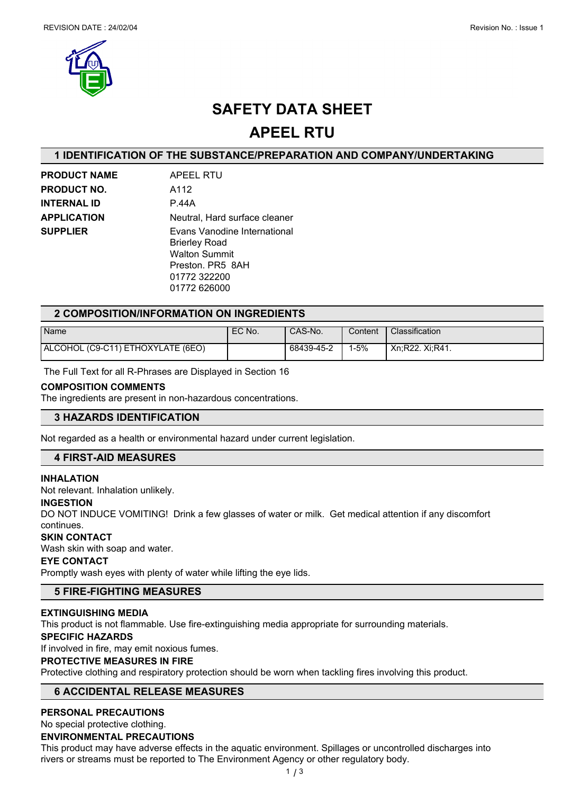



## **SAFETY DATA SHEET**

## **APEEL RTU**

## **1 IDENTIFICATION OF THE SUBSTANCE/PREPARATION AND COMPANY/UNDERTAKING**

| <b>PRODUCT NAME</b> | APEEL RTU                                                                    |
|---------------------|------------------------------------------------------------------------------|
| <b>PRODUCT NO.</b>  | A112                                                                         |
| <b>INTERNAL ID</b>  | P.44A                                                                        |
| <b>APPLICATION</b>  | Neutral, Hard surface cleaner                                                |
| <b>SUPPLIER</b>     | Evans Vanodine International<br><b>Brierley Road</b><br><b>Walton Summit</b> |
|                     | Preston, PR5 8AH                                                             |
|                     | 01772 322200                                                                 |
|                     | 01772 626000                                                                 |

## **2 COMPOSITION/INFORMATION ON INGREDIENTS**

| Name                              | EC No. | CAS-No.    | Content | Classification  |
|-----------------------------------|--------|------------|---------|-----------------|
| ALCOHOL (C9-C11) ETHOXYLATE (6EO) |        | 68439-45-2 | l-5%    | Xn:R22, Xi:R41. |

The Full Text for all R-Phrases are Displayed in Section 16

#### **COMPOSITION COMMENTS**

The ingredients are present in non-hazardous concentrations.

## **3 HAZARDS IDENTIFICATION**

Not regarded as a health or environmental hazard under current legislation.

## **4 FIRST-AID MEASURES**

#### **INHALATION**

Not relevant. Inhalation unlikely.

#### **INGESTION**

DO NOT INDUCE VOMITING! Drink a few glasses of water or milk. Get medical attention if any discomfort continues.

#### **SKIN CONTACT**

Wash skin with soap and water.

#### **EYE CONTACT**

Promptly wash eyes with plenty of water while lifting the eye lids.

## **5 FIRE-FIGHTING MEASURES**

#### **EXTINGUISHING MEDIA**

This product is not flammable. Use fire-extinguishing media appropriate for surrounding materials.

#### **SPECIFIC HAZARDS**

If involved in fire, may emit noxious fumes.

#### **PROTECTIVE MEASURES IN FIRE**

Protective clothing and respiratory protection should be worn when tackling fires involving this product.

## **6 ACCIDENTAL RELEASE MEASURES**

## **PERSONAL PRECAUTIONS**

No special protective clothing.

## **ENVIRONMENTAL PRECAUTIONS**

This product may have adverse effects in the aquatic environment. Spillages or uncontrolled discharges into rivers or streams must be reported to The Environment Agency or other regulatory body.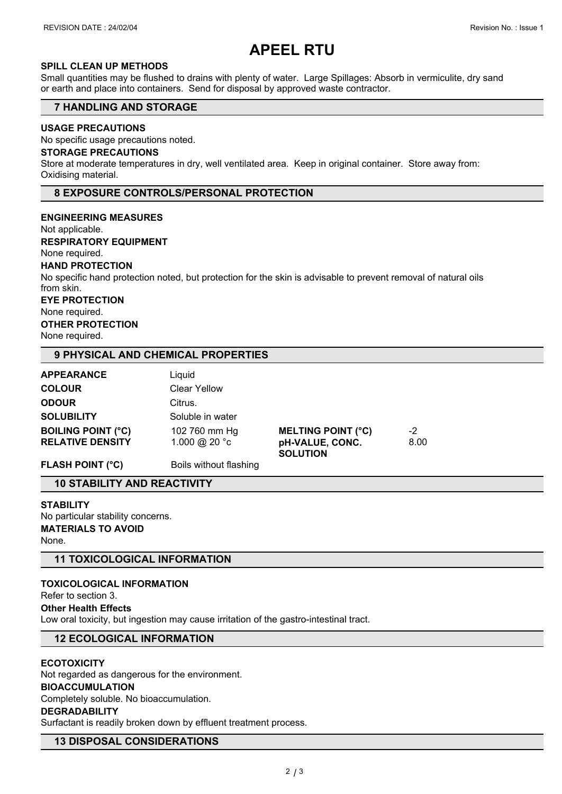# **APEEL RTU**

## **SPILL CLEAN UP METHODS**

Small quantities may be flushed to drains with plenty of water. Large Spillages: Absorb in vermiculite, dry sand or earth and place into containers. Send for disposal by approved waste contractor.

## **7 HANDLING AND STORAGE**

## **USAGE PRECAUTIONS**

No specific usage precautions noted.

#### **STORAGE PRECAUTIONS**

Store at moderate temperatures in dry, well ventilated area. Keep in original container. Store away from: Oxidising material.

#### **8 EXPOSURE CONTROLS/PERSONAL PROTECTION**

**ENGINEERING MEASURES**

Not applicable.

**RESPIRATORY EQUIPMENT**

None required.

#### **HAND PROTECTION**

No specific hand protection noted, but protection for the skin is advisable to prevent removal of natural oils from skin.

**EYE PROTECTION**

None required.

## **OTHER PROTECTION**

None required.

#### **9 PHYSICAL AND CHEMICAL PROPERTIES**

| <b>APPEARANCE</b>         | Liauid                 |                                    |      |  |
|---------------------------|------------------------|------------------------------------|------|--|
| <b>COLOUR</b>             | <b>Clear Yellow</b>    |                                    |      |  |
| <b>ODOUR</b>              | Citrus.                |                                    |      |  |
| <b>SOLUBILITY</b>         | Soluble in water       |                                    |      |  |
| <b>BOILING POINT (°C)</b> | 102 760 mm Hg          | <b>MELTING POINT (°C)</b>          | -2   |  |
| <b>RELATIVE DENSITY</b>   | 1.000 @ 20 °c          | pH-VALUE, CONC.<br><b>SOLUTION</b> | 8.00 |  |
| <b>FLASH POINT (°C)</b>   | Boils without flashing |                                    |      |  |

## **10 STABILITY AND REACTIVITY**

**STABILITY** No particular stability concerns. **MATERIALS TO AVOID** None.

**11 TOXICOLOGICAL INFORMATION**

## **TOXICOLOGICAL INFORMATION**

Refer to section 3.

**Other Health Effects**

Low oral toxicity, but ingestion may cause irritation of the gastro-intestinal tract.

## **12 ECOLOGICAL INFORMATION**

#### **ECOTOXICITY**

Not regarded as dangerous for the environment. **BIOACCUMULATION** Completely soluble. No bioaccumulation.

## **DEGRADABILITY**

Surfactant is readily broken down by effluent treatment process.

### **13 DISPOSAL CONSIDERATIONS**